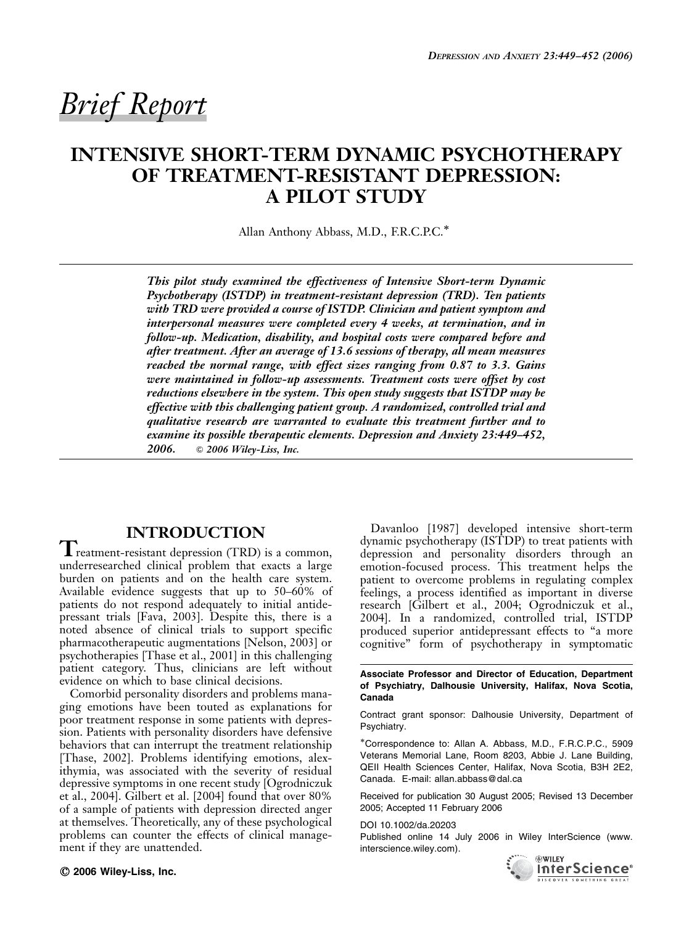# Brief Report

## INTENSIVE SHORT-TERM DYNAMIC PSYCHOTHERAPY OF TREATMENT-RESISTANT DEPRESSION: A PILOT STUDY

Allan Anthony Abbass, M.D., F.R.C.P.C.\*

This pilot study examined the effectiveness of Intensive Short-term Dynamic Psychotherapy (ISTDP) in treatment-resistant depression (TRD). Ten patients with TRD were provided a course of ISTDP. Clinician and patient symptom and interpersonal measures were completed every 4 weeks, at termination, and in follow-up. Medication, disability, and hospital costs were compared before and after treatment. After an average of 13.6 sessions of therapy, all mean measures reached the normal range, with effect sizes ranging from 0.87 to 3.3. Gains were maintained in follow-up assessments. Treatment costs were offset by cost reductions elsewhere in the system. This open study suggests that ISTDP may be effective with this challenging patient group. A randomized, controlled trial and qualitative research are warranted to evaluate this treatment further and to examine its possible therapeutic elements. Depression and Anxiety 23:449–452, 2006. *&* 2006 Wiley-Liss, Inc.

### INTRODUCTION

 $\blacktriangle$  reatment-resistant depression (TRD) is a common, underresearched clinical problem that exacts a large burden on patients and on the health care system. Available evidence suggests that up to 50–60% of patients do not respond adequately to initial antidepressant trials [Fava, 2003]. Despite this, there is a noted absence of clinical trials to support specific pharmacotherapeutic augmentations [Nelson, 2003] or psychotherapies [Thase et al., 2001] in this challenging patient category. Thus, clinicians are left without evidence on which to base clinical decisions.

Comorbid personality disorders and problems managing emotions have been touted as explanations for poor treatment response in some patients with depression. Patients with personality disorders have defensive behaviors that can interrupt the treatment relationship [Thase, 2002]. Problems identifying emotions, alexithymia, was associated with the severity of residual depressive symptoms in one recent study [Ogrodniczuk et al., 2004]. Gilbert et al. [2004] found that over 80% of a sample of patients with depression directed anger at themselves. Theoretically, any of these psychological problems can counter the effects of clinical management if they are unattended.

 $©$  2006 Wiley-Liss, Inc.

Davanloo [1987] developed intensive short-term dynamic psychotherapy (ISTDP) to treat patients with depression and personality disorders through an emotion-focused process. This treatment helps the patient to overcome problems in regulating complex feelings, a process identified as important in diverse research [Gilbert et al., 2004; Ogrodniczuk et al., 2004]. In a randomized, controlled trial, ISTDP produced superior antidepressant effects to ''a more cognitive'' form of psychotherapy in symptomatic

Associate Professor and Director of Education, Department of Psychiatry, Dalhousie University, Halifax, Nova Scotia, Canada

Contract grant sponsor: Dalhousie University, Department of Psychiatry.

Correspondence to: Allan A. Abbass, M.D., F.R.C.P.C., 5909 Veterans Memorial Lane, Room 8203, Abbie J. Lane Building, QEII Health Sciences Center, Halifax, Nova Scotia, B3H 2E2, Canada. E-mail: allan.abbass@dal.ca

Received for publication 30 August 2005; Revised 13 December 2005; Accepted 11 February 2006

DOI 10.1002/da.20203

Published online 14 July 2006 in Wiley InterScience (www. interscience.wiley.com).

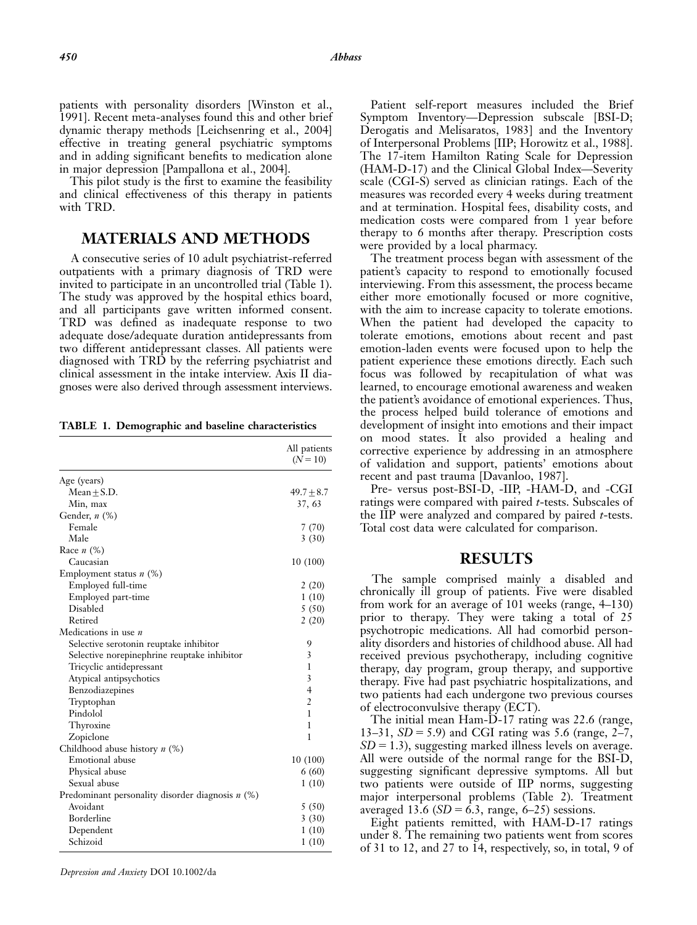patients with personality disorders [Winston et al., 1991]. Recent meta-analyses found this and other brief dynamic therapy methods [Leichsenring et al., 2004] effective in treating general psychiatric symptoms and in adding significant benefits to medication alone in major depression [Pampallona et al., 2004].

This pilot study is the first to examine the feasibility and clinical effectiveness of this therapy in patients with TRD.

#### MATERIALS AND METHODS

A consecutive series of 10 adult psychiatrist-referred outpatients with a primary diagnosis of TRD were invited to participate in an uncontrolled trial (Table 1). The study was approved by the hospital ethics board, and all participants gave written informed consent. TRD was defined as inadequate response to two adequate dose/adequate duration antidepressants from two different antidepressant classes. All patients were diagnosed with TRD by the referring psychiatrist and clinical assessment in the intake interview. Axis II diagnoses were also derived through assessment interviews.

TABLE 1. Demographic and baseline characteristics

|                                                    | All patients<br>$(N = 10)$ |
|----------------------------------------------------|----------------------------|
| Age (years)                                        |                            |
| $Mean + S.D.$                                      | $49.7 \pm 8.7$             |
| Min, max                                           | 37, 63                     |
| Gender, $n$ $(\%)$                                 |                            |
| Female                                             | 7 (70)                     |
| Male                                               | 3(30)                      |
| Race $n$ (%)                                       |                            |
| Caucasian                                          | 10(100)                    |
| Employment status $n$ (%)                          |                            |
| Employed full-time                                 | 2(20)                      |
| Employed part-time                                 | 1(10)                      |
| <b>Disabled</b>                                    | 5(50)                      |
| Retired                                            | 2(20)                      |
| Medications in use $n$                             |                            |
| Selective serotonin reuptake inhibitor             | 9                          |
| Selective norepinephrine reuptake inhibitor        | 3                          |
| Tricyclic antidepressant                           | 1                          |
| Atypical antipsychotics                            | 3                          |
| Benzodiazepines                                    | $\overline{4}$             |
| Tryptophan                                         | $\overline{2}$             |
| Pindolol                                           | 1                          |
| Thyroxine                                          | 1                          |
| Zopiclone                                          | 1                          |
| Childhood abuse history $n$ (%)                    |                            |
| Emotional abuse                                    | 10(100)                    |
| Physical abuse                                     | 6(60)                      |
| Sexual abuse                                       | 1(10)                      |
| Predominant personality disorder diagnosis $n$ (%) |                            |
| Avoidant                                           | 5(50)                      |
| Borderline                                         | 3(30)                      |
| Dependent                                          | 1(10)                      |
| Schizoid                                           | 1(10)                      |
|                                                    |                            |

Depression and Anxiety DOI 10.1002/da

Patient self-report measures included the Brief Symptom Inventory—Depression subscale [BSI-D; Derogatis and Melisaratos, 1983] and the Inventory of Interpersonal Problems [IIP; Horowitz et al., 1988]. The 17-item Hamilton Rating Scale for Depression (HAM-D-17) and the Clinical Global Index—Severity scale (CGI-S) served as clinician ratings. Each of the measures was recorded every 4 weeks during treatment and at termination. Hospital fees, disability costs, and medication costs were compared from 1 year before therapy to 6 months after therapy. Prescription costs were provided by a local pharmacy.

The treatment process began with assessment of the patient's capacity to respond to emotionally focused interviewing. From this assessment, the process became either more emotionally focused or more cognitive, with the aim to increase capacity to tolerate emotions. When the patient had developed the capacity to tolerate emotions, emotions about recent and past emotion-laden events were focused upon to help the patient experience these emotions directly. Each such focus was followed by recapitulation of what was learned, to encourage emotional awareness and weaken the patient's avoidance of emotional experiences. Thus, the process helped build tolerance of emotions and development of insight into emotions and their impact on mood states. It also provided a healing and corrective experience by addressing in an atmosphere of validation and support, patients' emotions about recent and past trauma [Davanloo, 1987].

Pre- versus post-BSI-D, -IIP, -HAM-D, and -CGI ratings were compared with paired t-tests. Subscales of the IIP were analyzed and compared by paired t-tests. Total cost data were calculated for comparison.

#### RESULTS

The sample comprised mainly a disabled and chronically ill group of patients. Five were disabled from work for an average of 101 weeks (range, 4–130) prior to therapy. They were taking a total of 25 psychotropic medications. All had comorbid personality disorders and histories of childhood abuse. All had received previous psychotherapy, including cognitive therapy, day program, group therapy, and supportive therapy. Five had past psychiatric hospitalizations, and two patients had each undergone two previous courses of electroconvulsive therapy (ECT).

The initial mean Ham-D-17 rating was 22.6 (range, 13–31,  $SD = 5.9$ ) and CGI rating was 5.6 (range, 2–7,  $SD = 1.3$ ), suggesting marked illness levels on average. All were outside of the normal range for the BSI-D, suggesting significant depressive symptoms. All but two patients were outside of IIP norms, suggesting major interpersonal problems (Table 2). Treatment averaged 13.6 ( $SD = 6.3$ , range, 6–25) sessions.

Eight patients remitted, with HAM-D-17 ratings under 8. The remaining two patients went from scores of 31 to 12, and 27 to 14, respectively, so, in total, 9 of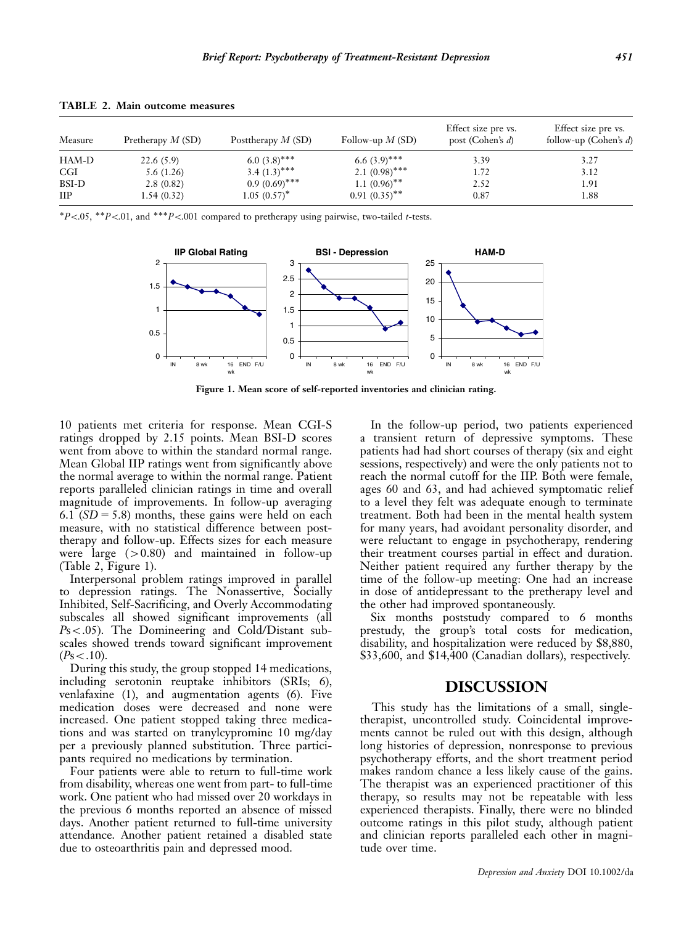| Measure      | Pretherapy $M(SD)$ | Posttherapy $M(SD)$ | Follow-up $M(SD)$          | Effect size pre vs.<br>post (Cohen's $d$ ) | Effect size pre vs.<br>follow-up (Cohen's $d$ ) |
|--------------|--------------------|---------------------|----------------------------|--------------------------------------------|-------------------------------------------------|
| HAM-D        | 22.6(5.9)          | 6.0 $(3.8)$ ***     | 6.6 $(3.9)$ ***            | 3.39                                       | 3.27                                            |
| <b>CGI</b>   | 5.6(1.26)          | $3.4 (1.3)$ ***     | 2.1 $(0.98)$ ***           | 1.72                                       | 3.12                                            |
| BSI-D        | 2.8(0.82)          | $0.9(0.69)$ ***     | $1.1~(0.96)$ <sup>**</sup> | 2.52                                       | 1.91                                            |
| $_{\rm IIP}$ | 1.54(0.32)         | $1.05~(0.57)^*$     | $0.91(0.35)$ **            | 0.87                                       | 1.88                                            |

TABLE 2. Main outcome measures

\* $P$ <.05, \*\* $P$ <.01, and \*\*\* $P$ <.001 compared to pretherapy using pairwise, two-tailed t-tests.



Figure 1. Mean score of self-reported inventories and clinician rating.

10 patients met criteria for response. Mean CGI-S ratings dropped by 2.15 points. Mean BSI-D scores went from above to within the standard normal range. Mean Global IIP ratings went from significantly above the normal average to within the normal range. Patient reports paralleled clinician ratings in time and overall magnitude of improvements. In follow-up averaging 6.1 ( $SD = 5.8$ ) months, these gains were held on each measure, with no statistical difference between posttherapy and follow-up. Effects sizes for each measure were large  $(>0.80)$  and maintained in follow-up (Table 2, Figure 1).

Interpersonal problem ratings improved in parallel to depression ratings. The Nonassertive, Socially Inhibited, Self-Sacrificing, and Overly Accommodating subscales all showed significant improvements (all  $Ps<.05$ ). The Domineering and Cold/Distant subscales showed trends toward significant improvement  $(P<sub>S</sub>< .10).$ 

During this study, the group stopped 14 medications, including serotonin reuptake inhibitors (SRIs; 6), venlafaxine (1), and augmentation agents (6). Five medication doses were decreased and none were increased. One patient stopped taking three medications and was started on tranylcypromine 10 mg/day per a previously planned substitution. Three participants required no medications by termination.

Four patients were able to return to full-time work from disability, whereas one went from part- to full-time work. One patient who had missed over 20 workdays in the previous 6 months reported an absence of missed days. Another patient returned to full-time university attendance. Another patient retained a disabled state due to osteoarthritis pain and depressed mood.

In the follow-up period, two patients experienced a transient return of depressive symptoms. These patients had had short courses of therapy (six and eight sessions, respectively) and were the only patients not to reach the normal cutoff for the IIP. Both were female, ages 60 and 63, and had achieved symptomatic relief to a level they felt was adequate enough to terminate treatment. Both had been in the mental health system for many years, had avoidant personality disorder, and were reluctant to engage in psychotherapy, rendering their treatment courses partial in effect and duration. Neither patient required any further therapy by the time of the follow-up meeting: One had an increase in dose of antidepressant to the pretherapy level and the other had improved spontaneously.

Six months poststudy compared to 6 months prestudy, the group's total costs for medication, disability, and hospitalization were reduced by \$8,880, \$33,600, and \$14,400 (Canadian dollars), respectively.

#### DISCUSSION

This study has the limitations of a small, singletherapist, uncontrolled study. Coincidental improvements cannot be ruled out with this design, although long histories of depression, nonresponse to previous psychotherapy efforts, and the short treatment period makes random chance a less likely cause of the gains. The therapist was an experienced practitioner of this therapy, so results may not be repeatable with less experienced therapists. Finally, there were no blinded outcome ratings in this pilot study, although patient and clinician reports paralleled each other in magnitude over time.